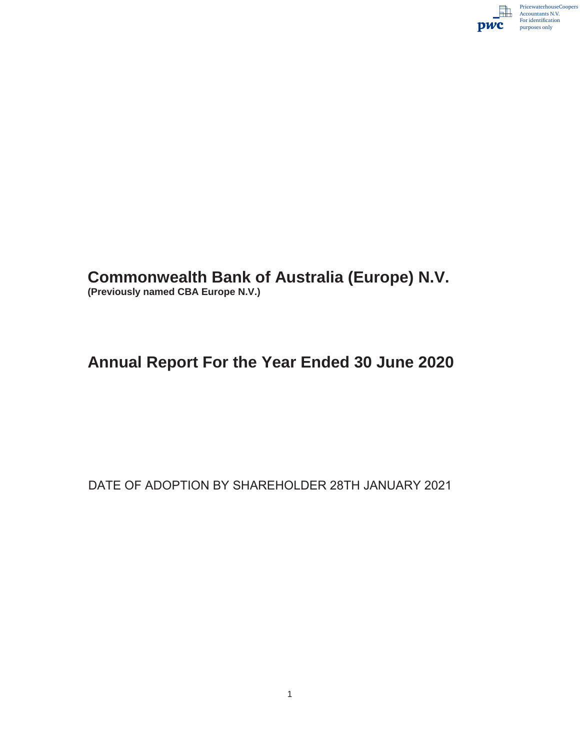

# **Commonwealth Bank of Australia (Europe) N.V.**

**(Previously named CBA Europe N.V.)**

## **Annual Report For the Year Ended 30 June 2020**

DATE OF ADOPTION BY SHAREHOLDER 28TH JANUARY 2021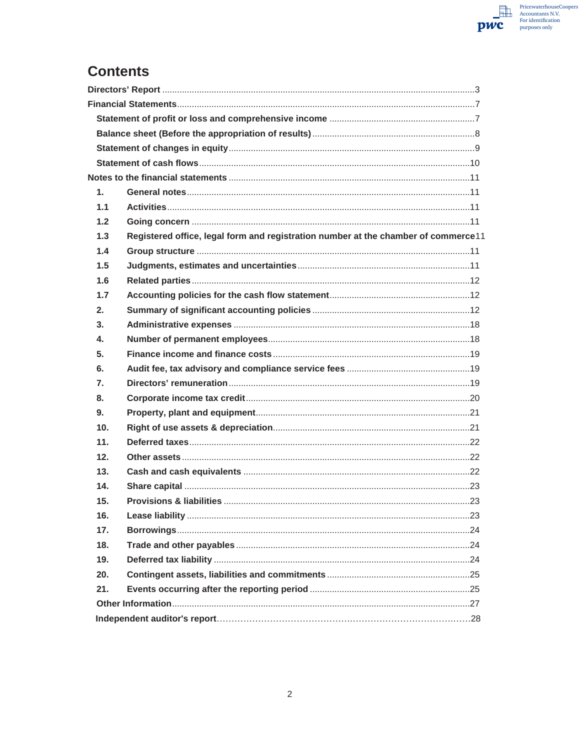

## **Contents**

| $\mathbf{1}$ . |                                                                                    |  |
|----------------|------------------------------------------------------------------------------------|--|
| 1.1            |                                                                                    |  |
| 1.2            |                                                                                    |  |
| 1.3            | Registered office, legal form and registration number at the chamber of commerce11 |  |
| 1.4            |                                                                                    |  |
| 1.5            |                                                                                    |  |
| 1.6            |                                                                                    |  |
| 1.7            |                                                                                    |  |
| 2.             |                                                                                    |  |
| 3.             |                                                                                    |  |
| 4.             |                                                                                    |  |
| 5.             |                                                                                    |  |
| 6.             |                                                                                    |  |
| 7.             |                                                                                    |  |
| 8.             |                                                                                    |  |
| 9.             |                                                                                    |  |
| 10.            |                                                                                    |  |
| 11.            |                                                                                    |  |
| 12.            |                                                                                    |  |
| 13.            |                                                                                    |  |
| 14.            |                                                                                    |  |
| 15.            |                                                                                    |  |
| 16.            |                                                                                    |  |
| 17.            |                                                                                    |  |
| 18.            |                                                                                    |  |
| 19.            |                                                                                    |  |
| 20.            |                                                                                    |  |
| 21.            |                                                                                    |  |
|                |                                                                                    |  |
|                |                                                                                    |  |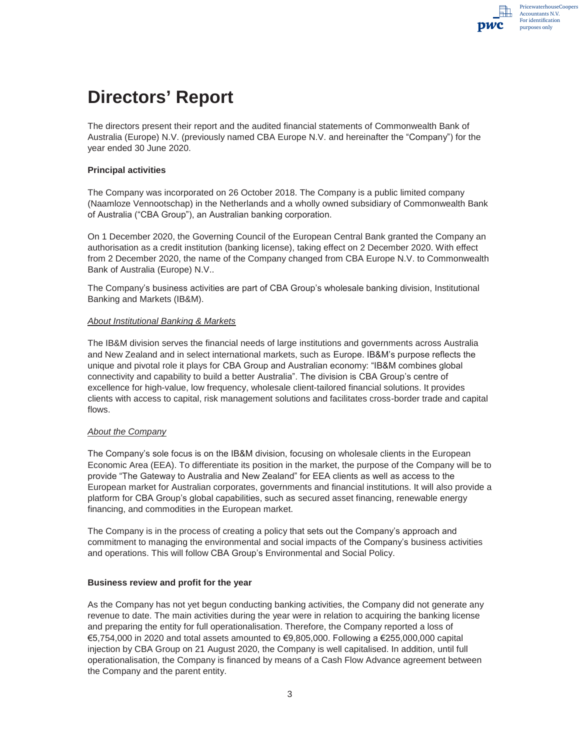# **Directors' Report**

The directors present their report and the audited financial statements of Commonwealth Bank of Australia (Europe) N.V. (previously named CBA Europe N.V. and hereinafter the "Company") for the year ended 30 June 2020.

#### **Principal activities**

The Company was incorporated on 26 October 2018. The Company is a public limited company (Naamloze Vennootschap) in the Netherlands and a wholly owned subsidiary of Commonwealth Bank of Australia ("CBA Group"), an Australian banking corporation.

On 1 December 2020, the Governing Council of the European Central Bank granted the Company an authorisation as a credit institution (banking license), taking effect on 2 December 2020. With effect from 2 December 2020, the name of the Company changed from CBA Europe N.V. to Commonwealth Bank of Australia (Europe) N.V..

The Company's business activities are part of CBA Group's wholesale banking division, Institutional Banking and Markets (IB&M).

#### *About Institutional Banking & Markets*

The IB&M division serves the financial needs of large institutions and governments across Australia and New Zealand and in select international markets, such as Europe. IB&M's purpose reflects the unique and pivotal role it plays for CBA Group and Australian economy: "IB&M combines global connectivity and capability to build a better Australia". The division is CBA Group's centre of excellence for high-value, low frequency, wholesale client-tailored financial solutions. It provides clients with access to capital, risk management solutions and facilitates cross-border trade and capital flows.

#### *About the Company*

The Company's sole focus is on the IB&M division, focusing on wholesale clients in the European Economic Area (EEA). To differentiate its position in the market, the purpose of the Company will be to provide "The Gateway to Australia and New Zealand" for EEA clients as well as access to the European market for Australian corporates, governments and financial institutions. It will also provide a platform for CBA Group's global capabilities, such as secured asset financing, renewable energy financing, and commodities in the European market.

The Company is in the process of creating a policy that sets out the Company's approach and commitment to managing the environmental and social impacts of the Company's business activities and operations. This will follow CBA Group's Environmental and Social Policy.

#### **Business review and profit for the year**

As the Company has not yet begun conducting banking activities, the Company did not generate any revenue to date. The main activities during the year were in relation to acquiring the banking license and preparing the entity for full operationalisation. Therefore, the Company reported a loss of  $€5,754,000$  in 2020 and total assets amounted to  $€9,805,000$ . Following a  $€255,000,000$  capital injection by CBA Group on 21 August 2020, the Company is well capitalised. In addition, until full operationalisation, the Company is financed by means of a Cash Flow Advance agreement between the Company and the parent entity.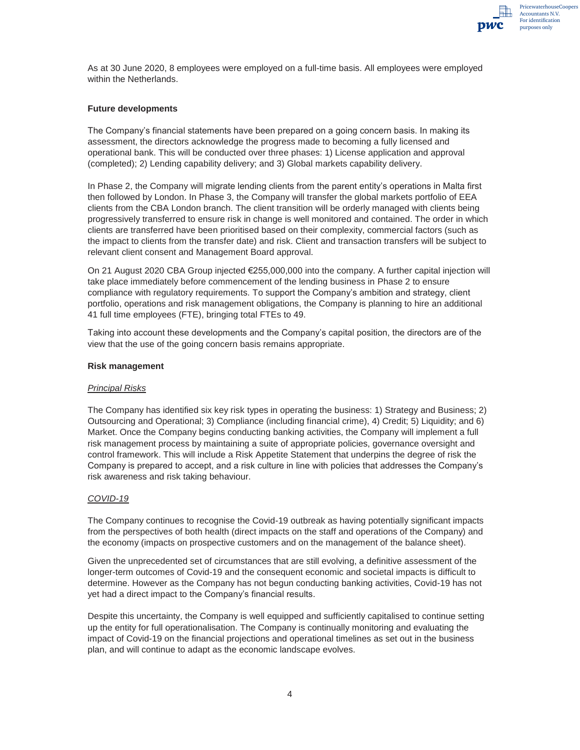

As at 30 June 2020, 8 employees were employed on a full-time basis. All employees were employed within the Netherlands.

#### **Future developments**

The Company's financial statements have been prepared on a going concern basis. In making its assessment, the directors acknowledge the progress made to becoming a fully licensed and operational bank. This will be conducted over three phases: 1) License application and approval (completed); 2) Lending capability delivery; and 3) Global markets capability delivery.

In Phase 2, the Company will migrate lending clients from the parent entity's operations in Malta first then followed by London. In Phase 3, the Company will transfer the global markets portfolio of EEA clients from the CBA London branch. The client transition will be orderly managed with clients being progressively transferred to ensure risk in change is well monitored and contained. The order in which clients are transferred have been prioritised based on their complexity, commercial factors (such as the impact to clients from the transfer date) and risk. Client and transaction transfers will be subject to relevant client consent and Management Board approval.

On 21 August 2020 CBA Group injected €255,000,000 into the company. A further capital injection will take place immediately before commencement of the lending business in Phase 2 to ensure compliance with regulatory requirements. To support the Company's ambition and strategy, client portfolio, operations and risk management obligations, the Company is planning to hire an additional 41 full time employees (FTE), bringing total FTEs to 49.

Taking into account these developments and the Company's capital position, the directors are of the view that the use of the going concern basis remains appropriate.

#### **Risk management**

#### *Principal Risks*

The Company has identified six key risk types in operating the business: 1) Strategy and Business; 2) Outsourcing and Operational; 3) Compliance (including financial crime), 4) Credit; 5) Liquidity; and 6) Market. Once the Company begins conducting banking activities, the Company will implement a full risk management process by maintaining a suite of appropriate policies, governance oversight and control framework. This will include a Risk Appetite Statement that underpins the degree of risk the Company is prepared to accept, and a risk culture in line with policies that addresses the Company's risk awareness and risk taking behaviour.

#### *COVID-19*

The Company continues to recognise the Covid-19 outbreak as having potentially significant impacts from the perspectives of both health (direct impacts on the staff and operations of the Company) and the economy (impacts on prospective customers and on the management of the balance sheet).

Given the unprecedented set of circumstances that are still evolving, a definitive assessment of the longer-term outcomes of Covid-19 and the consequent economic and societal impacts is difficult to determine. However as the Company has not begun conducting banking activities, Covid-19 has not yet had a direct impact to the Company's financial results.

Despite this uncertainty, the Company is well equipped and sufficiently capitalised to continue setting up the entity for full operationalisation. The Company is continually monitoring and evaluating the impact of Covid-19 on the financial projections and operational timelines as set out in the business plan, and will continue to adapt as the economic landscape evolves.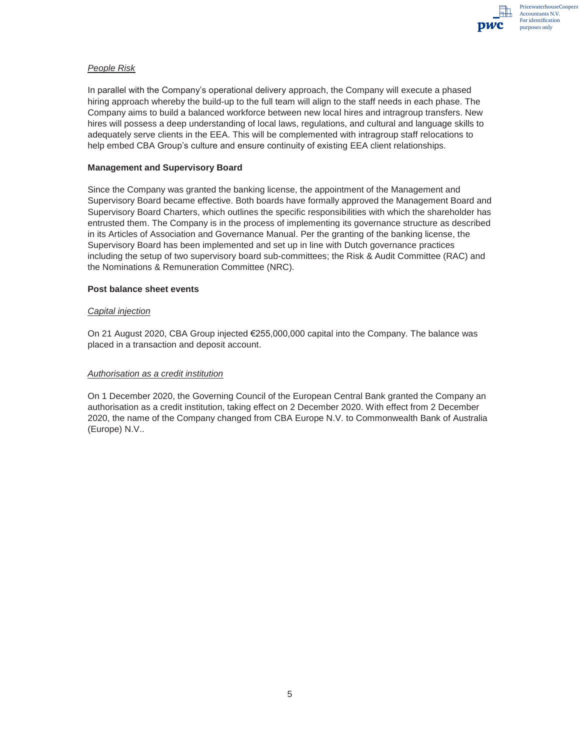

#### *People Risk*

In parallel with the Company's operational delivery approach, the Company will execute a phased hiring approach whereby the build-up to the full team will align to the staff needs in each phase. The Company aims to build a balanced workforce between new local hires and intragroup transfers. New hires will possess a deep understanding of local laws, regulations, and cultural and language skills to adequately serve clients in the EEA. This will be complemented with intragroup staff relocations to help embed CBA Group's culture and ensure continuity of existing EEA client relationships.

#### **Management and Supervisory Board**

Since the Company was granted the banking license, the appointment of the Management and Supervisory Board became effective. Both boards have formally approved the Management Board and Supervisory Board Charters, which outlines the specific responsibilities with which the shareholder has entrusted them. The Company is in the process of implementing its governance structure as described in its Articles of Association and Governance Manual. Per the granting of the banking license, the Supervisory Board has been implemented and set up in line with Dutch governance practices including the setup of two supervisory board sub-committees; the Risk & Audit Committee (RAC) and the Nominations & Remuneration Committee (NRC).

#### **Post balance sheet events**

#### *Capital injection*

On 21 August 2020, CBA Group injected €255,000,000 capital into the Company. The balance was placed in a transaction and deposit account.

#### *Authorisation as a credit institution*

On 1 December 2020, the Governing Council of the European Central Bank granted the Company an authorisation as a credit institution, taking effect on 2 December 2020. With effect from 2 December 2020, the name of the Company changed from CBA Europe N.V. to Commonwealth Bank of Australia (Europe) N.V..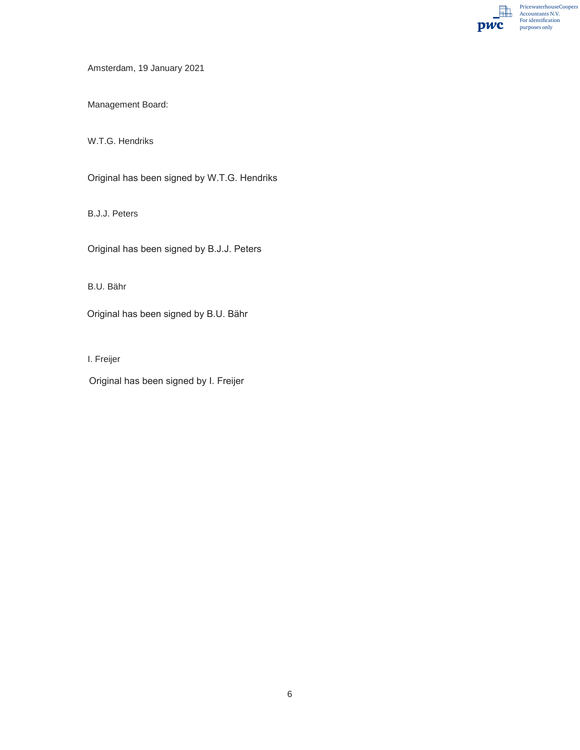PricewaterhouseCoopers Accountants N.V. For identification  $pwc$ purposes only

Amsterdam, 19 January 2021

Management Board:

W.T.G. Hendriks

Original has been signed by W.T.G. Hendriks

B.J.J. Peters

Original has been signed by B.J.J. Peters

B.U. Bähr

Original has been signed by B.U. Bähr

I. Freijer

Original has been signed by I. Freijer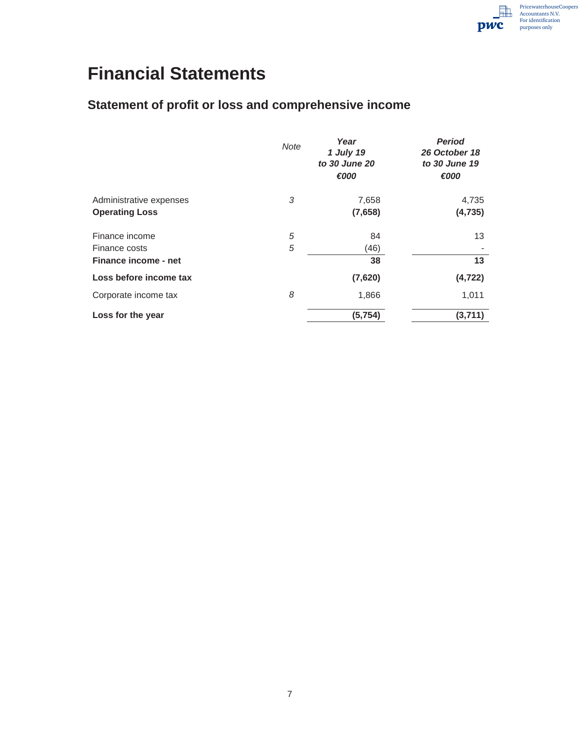# **Financial Statements**

## **Statement of profit or loss and comprehensive income**

|                         | <b>Note</b> | Year<br>1 July 19<br>to 30 June 20<br>€000 | <b>Period</b><br>26 October 18<br>to 30 June 19<br>€000 |
|-------------------------|-------------|--------------------------------------------|---------------------------------------------------------|
| Administrative expenses | 3           | 7,658                                      | 4,735                                                   |
| <b>Operating Loss</b>   |             | (7,658)                                    | (4, 735)                                                |
| Finance income          | 5           | 84                                         | 13                                                      |
| Finance costs           | 5           | (46)                                       |                                                         |
| Finance income - net    |             | 38                                         | 13                                                      |
| Loss before income tax  |             | (7,620)                                    | (4, 722)                                                |
| Corporate income tax    | 8           | 1,866                                      | 1,011                                                   |
| Loss for the year       |             | (5, 754)                                   | (3,711)                                                 |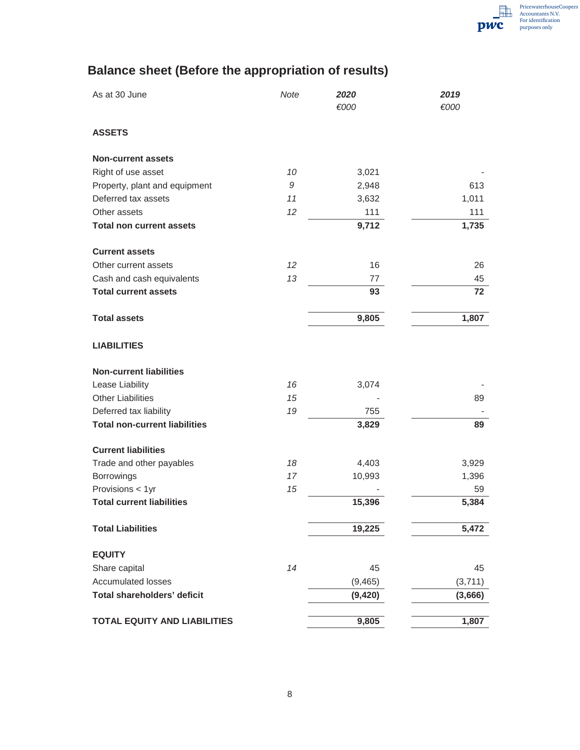## **Balance sheet (Before the appropriation of results)**

| As at 30 June                        | Note | 2020<br>€000 | 2019<br>€000 |
|--------------------------------------|------|--------------|--------------|
| <b>ASSETS</b>                        |      |              |              |
| <b>Non-current assets</b>            |      |              |              |
| Right of use asset                   | 10   | 3,021        |              |
| Property, plant and equipment        | 9    | 2,948        | 613          |
| Deferred tax assets                  | 11   | 3,632        | 1,011        |
| Other assets                         | 12   | 111          | 111          |
| <b>Total non current assets</b>      |      | 9,712        | 1,735        |
| <b>Current assets</b>                |      |              |              |
| Other current assets                 | 12   | 16           | 26           |
| Cash and cash equivalents            | 13   | 77           | 45           |
| <b>Total current assets</b>          |      | 93           | 72           |
| <b>Total assets</b>                  |      | 9,805        | 1,807        |
| <b>LIABILITIES</b>                   |      |              |              |
| <b>Non-current liabilities</b>       |      |              |              |
| Lease Liability                      | 16   | 3,074        |              |
| <b>Other Liabilities</b>             | 15   |              | 89           |
| Deferred tax liability               | 19   | 755          |              |
| <b>Total non-current liabilities</b> |      | 3,829        | 89           |
| <b>Current liabilities</b>           |      |              |              |
| Trade and other payables             | 18   | 4,403        | 3,929        |
| Borrowings                           | 17   | 10,993       | 1,396        |
| Provisions < 1yr                     | 15   |              | 59           |
| <b>Total current liabilities</b>     |      | 15,396       | 5,384        |
| <b>Total Liabilities</b>             |      | 19,225       | 5,472        |
| <b>EQUITY</b>                        |      |              |              |
| Share capital                        | 14   | 45           | 45           |
| <b>Accumulated losses</b>            |      | (9, 465)     | (3,711)      |
| Total shareholders' deficit          |      | (9, 420)     | (3,666)      |
| TOTAL EQUITY AND LIABILITIES         |      | 9,805        | 1,807        |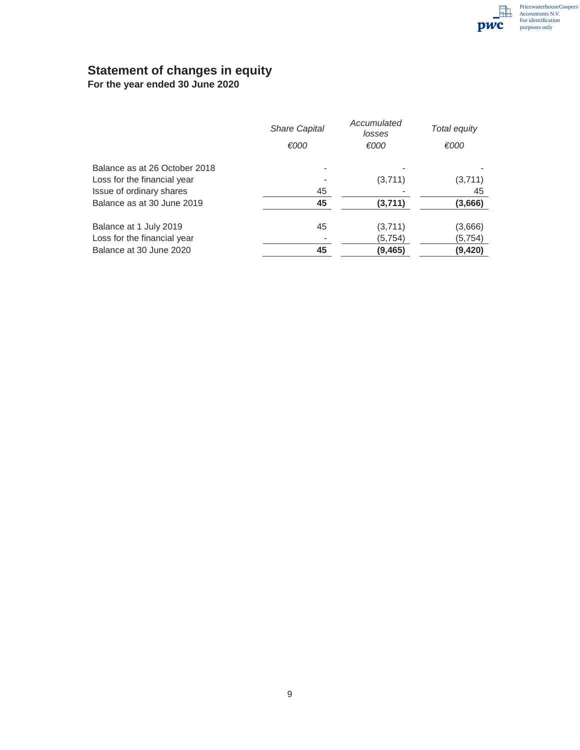## **Statement of changes in equity**

**For the year ended 30 June 2020** 

|                               | <b>Share Capital</b> | Accumulated<br>losses | Total equity |
|-------------------------------|----------------------|-----------------------|--------------|
|                               | €000                 | €000                  | €000         |
| Balance as at 26 October 2018 |                      |                       |              |
| Loss for the financial year   |                      | (3,711)               | (3,711)      |
| Issue of ordinary shares      | 45                   |                       | 45           |
| Balance as at 30 June 2019    | 45                   | (3,711)               | (3,666)      |
| Balance at 1 July 2019        | 45                   | (3,711)               | (3,666)      |
| Loss for the financial year   |                      | (5, 754)              | (5,754)      |
| Balance at 30 June 2020       | 45                   | (9,465)               | (9,420)      |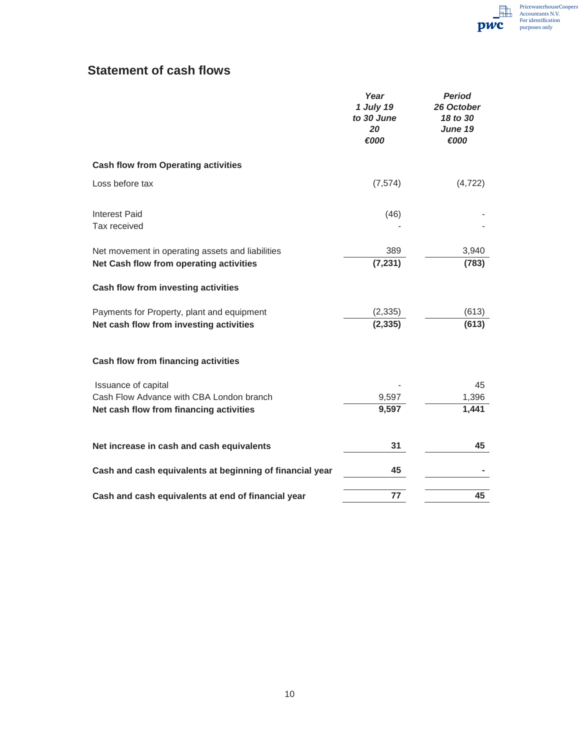## **Statement of cash flows**

|                                                                                             | Year<br>1 July 19<br>to 30 June<br>20<br>€000 | <b>Period</b><br>26 October<br>18 to 30<br>June 19<br>€000 |
|---------------------------------------------------------------------------------------------|-----------------------------------------------|------------------------------------------------------------|
| <b>Cash flow from Operating activities</b>                                                  |                                               |                                                            |
| Loss before tax                                                                             | (7, 574)                                      | (4, 722)                                                   |
| <b>Interest Paid</b><br>Tax received                                                        | (46)                                          |                                                            |
| Net movement in operating assets and liabilities<br>Net Cash flow from operating activities | 389<br>(7, 231)                               | 3,940<br>(783)                                             |
| Cash flow from investing activities                                                         |                                               |                                                            |
| Payments for Property, plant and equipment<br>Net cash flow from investing activities       | (2, 335)<br>(2, 335)                          | (613)<br>(613)                                             |
| Cash flow from financing activities                                                         |                                               |                                                            |
| Issuance of capital                                                                         |                                               | 45                                                         |
| Cash Flow Advance with CBA London branch<br>Net cash flow from financing activities         | 9,597<br>9,597                                | 1,396<br>1,441                                             |
| Net increase in cash and cash equivalents                                                   | 31                                            | 45                                                         |
| Cash and cash equivalents at beginning of financial year                                    | 45                                            |                                                            |
| Cash and cash equivalents at end of financial year                                          | 77                                            | 45                                                         |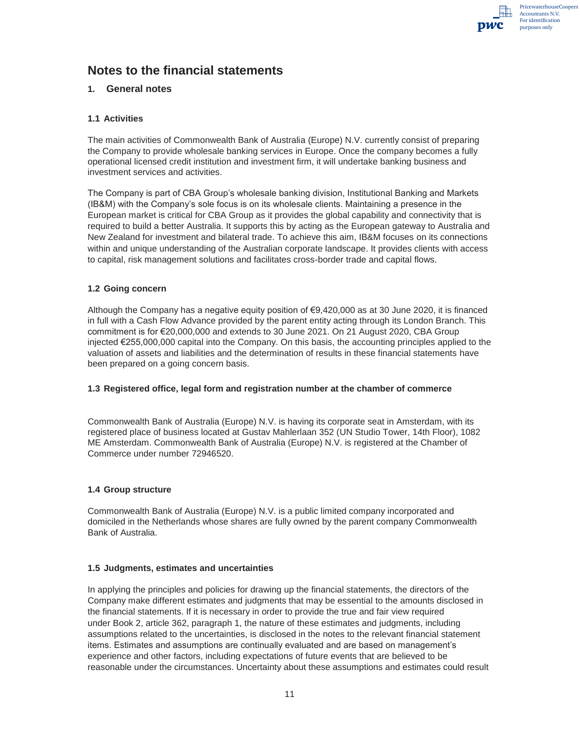PricewaterhouseCoopers Accountants N.V. For identification purposes only

## **Notes to the financial statements**

#### **1. General notes**

#### **1.1 Activities**

The main activities of Commonwealth Bank of Australia (Europe) N.V. currently consist of preparing the Company to provide wholesale banking services in Europe. Once the company becomes a fully operational licensed credit institution and investment firm, it will undertake banking business and investment services and activities.

The Company is part of CBA Group's wholesale banking division, Institutional Banking and Markets (IB&M) with the Company's sole focus is on its wholesale clients. Maintaining a presence in the European market is critical for CBA Group as it provides the global capability and connectivity that is required to build a better Australia. It supports this by acting as the European gateway to Australia and New Zealand for investment and bilateral trade. To achieve this aim, IB&M focuses on its connections within and unique understanding of the Australian corporate landscape. It provides clients with access to capital, risk management solutions and facilitates cross-border trade and capital flows.

#### **1.2 Going concern**

Although the Company has a negative equity position of €9,420,000 as at 30 June 2020, it is financed in full with a Cash Flow Advance provided by the parent entity acting through its London Branch. This commitment is for €20,000,000 and extends to 30 June 2021. On 21 August 2020, CBA Group injected €255,000,000 capital into the Company. On this basis, the accounting principles applied to the valuation of assets and liabilities and the determination of results in these financial statements have been prepared on a going concern basis.

#### **1.3 Registered office, legal form and registration number at the chamber of commerce**

Commonwealth Bank of Australia (Europe) N.V. is having its corporate seat in Amsterdam, with its registered place of business located at Gustav Mahlerlaan 352 (UN Studio Tower, 14th Floor), 1082 ME Amsterdam. Commonwealth Bank of Australia (Europe) N.V. is registered at the Chamber of Commerce under number 72946520.

#### **1.4 Group structure**

Commonwealth Bank of Australia (Europe) N.V. is a public limited company incorporated and domiciled in the Netherlands whose shares are fully owned by the parent company Commonwealth Bank of Australia.

#### **1.5 Judgments, estimates and uncertainties**

In applying the principles and policies for drawing up the financial statements, the directors of the Company make different estimates and judgments that may be essential to the amounts disclosed in the financial statements. If it is necessary in order to provide the true and fair view required under Book 2, article 362, paragraph 1, the nature of these estimates and judgments, including assumptions related to the uncertainties, is disclosed in the notes to the relevant financial statement items. Estimates and assumptions are continually evaluated and are based on management's experience and other factors, including expectations of future events that are believed to be reasonable under the circumstances. Uncertainty about these assumptions and estimates could result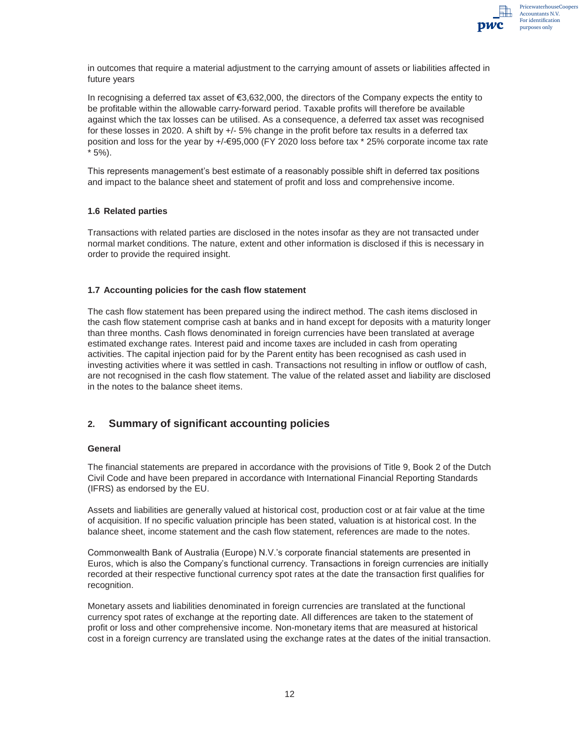

in outcomes that require a material adjustment to the carrying amount of assets or liabilities affected in future years

In recognising a deferred tax asset of €3,632,000, the directors of the Company expects the entity to be profitable within the allowable carry-forward period. Taxable profits will therefore be available against which the tax losses can be utilised. As a consequence, a deferred tax asset was recognised for these losses in 2020. A shift by  $+/-5\%$  change in the profit before tax results in a deferred tax position and loss for the year by +/-€95,000 (FY 2020 loss before tax \* 25% corporate income tax rate \* 5%).

This represents management's best estimate of a reasonably possible shift in deferred tax positions and impact to the balance sheet and statement of profit and loss and comprehensive income.

#### **1.6 Related parties**

Transactions with related parties are disclosed in the notes insofar as they are not transacted under normal market conditions. The nature, extent and other information is disclosed if this is necessary in order to provide the required insight.

#### **1.7 Accounting policies for the cash flow statement**

The cash flow statement has been prepared using the indirect method. The cash items disclosed in the cash flow statement comprise cash at banks and in hand except for deposits with a maturity longer than three months. Cash flows denominated in foreign currencies have been translated at average estimated exchange rates. Interest paid and income taxes are included in cash from operating activities. The capital injection paid for by the Parent entity has been recognised as cash used in investing activities where it was settled in cash. Transactions not resulting in inflow or outflow of cash, are not recognised in the cash flow statement. The value of the related asset and liability are disclosed in the notes to the balance sheet items.

#### **2. Summary of significant accounting policies**

#### **General**

The financial statements are prepared in accordance with the provisions of Title 9, Book 2 of the Dutch Civil Code and have been prepared in accordance with International Financial Reporting Standards (IFRS) as endorsed by the EU.

Assets and liabilities are generally valued at historical cost, production cost or at fair value at the time of acquisition. If no specific valuation principle has been stated, valuation is at historical cost. In the balance sheet, income statement and the cash flow statement, references are made to the notes.

Commonwealth Bank of Australia (Europe) N.V.'s corporate financial statements are presented in Euros, which is also the Company's functional currency. Transactions in foreign currencies are initially recorded at their respective functional currency spot rates at the date the transaction first qualifies for recognition.

Monetary assets and liabilities denominated in foreign currencies are translated at the functional currency spot rates of exchange at the reporting date. All differences are taken to the statement of profit or loss and other comprehensive income. Non-monetary items that are measured at historical cost in a foreign currency are translated using the exchange rates at the dates of the initial transaction.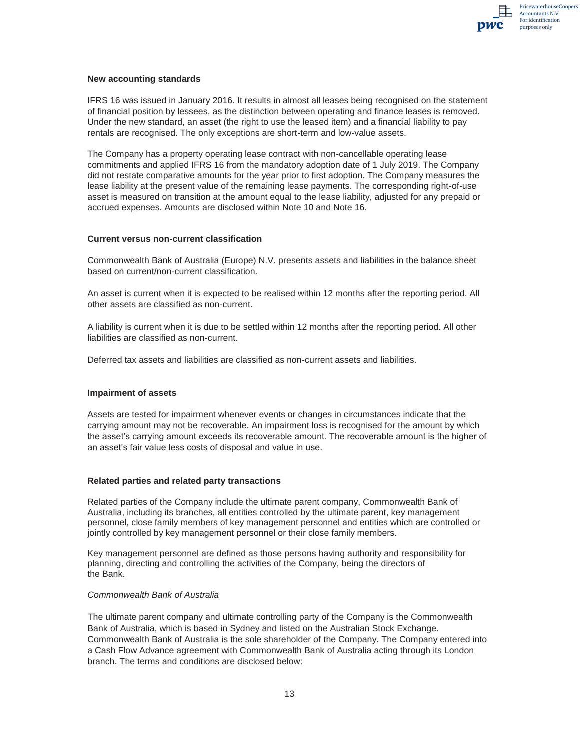

#### **New accounting standards**

IFRS 16 was issued in January 2016. It results in almost all leases being recognised on the statement of financial position by lessees, as the distinction between operating and finance leases is removed. Under the new standard, an asset (the right to use the leased item) and a financial liability to pay rentals are recognised. The only exceptions are short-term and low-value assets.

The Company has a property operating lease contract with non-cancellable operating lease commitments and applied IFRS 16 from the mandatory adoption date of 1 July 2019. The Company did not restate comparative amounts for the year prior to first adoption. The Company measures the lease liability at the present value of the remaining lease payments. The corresponding right-of-use asset is measured on transition at the amount equal to the lease liability, adjusted for any prepaid or accrued expenses. Amounts are disclosed within Note 10 and Note 16.

#### **Current versus non-current classification**

Commonwealth Bank of Australia (Europe) N.V. presents assets and liabilities in the balance sheet based on current/non-current classification.

An asset is current when it is expected to be realised within 12 months after the reporting period. All other assets are classified as non-current.

A liability is current when it is due to be settled within 12 months after the reporting period. All other liabilities are classified as non-current.

Deferred tax assets and liabilities are classified as non-current assets and liabilities.

#### **Impairment of assets**

Assets are tested for impairment whenever events or changes in circumstances indicate that the carrying amount may not be recoverable. An impairment loss is recognised for the amount by which the asset's carrying amount exceeds its recoverable amount. The recoverable amount is the higher of an asset's fair value less costs of disposal and value in use.

#### **Related parties and related party transactions**

Related parties of the Company include the ultimate parent company, Commonwealth Bank of Australia, including its branches, all entities controlled by the ultimate parent, key management personnel, close family members of key management personnel and entities which are controlled or jointly controlled by key management personnel or their close family members.

Key management personnel are defined as those persons having authority and responsibility for planning, directing and controlling the activities of the Company, being the directors of the Bank.

#### *Commonwealth Bank of Australia*

The ultimate parent company and ultimate controlling party of the Company is the Commonwealth Bank of Australia, which is based in Sydney and listed on the Australian Stock Exchange. Commonwealth Bank of Australia is the sole shareholder of the Company. The Company entered into a Cash Flow Advance agreement with Commonwealth Bank of Australia acting through its London branch. The terms and conditions are disclosed below: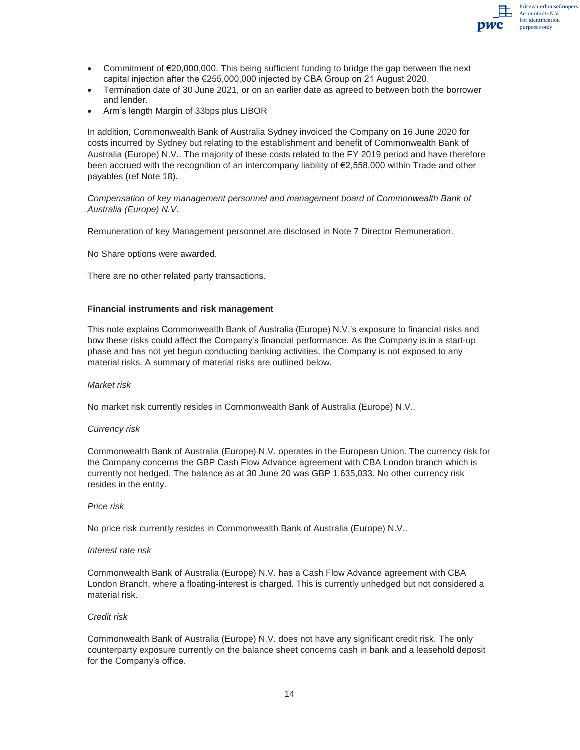

- Commitment of  $E$ 20,000,000. This being sufficient funding to bridge the gap between the next capital injection after the €255,000,000 injected by CBA Group on 21 August 2020.
- Termination date of 30 June 2021, or on an earlier date as agreed to between both the borrower and lender.
- Arm's length Margin of 33bps plus LIBOR

In addition, Commonwealth Bank of Australia Sydney invoiced the Company on 16 June 2020 for costs incurred by Sydney but relating to the establishment and benefit of Commonwealth Bank of Australia (Europe) N.V.. The majority of these costs related to the FY 2019 period and have therefore been accrued with the recognition of an intercompany liability of €2,558,000 within Trade and other payables (ref Note 18).

*Compensation of key management personnel and management board of Commonwealth Bank of Australia (Europe) N.V.* 

Remuneration of key Management personnel are disclosed in Note 7 Director Remuneration.

No Share options were awarded.

There are no other related party transactions.

#### **Financial instruments and risk management**

This note explains Commonwealth Bank of Australia (Europe) N.V.'s exposure to financial risks and how these risks could affect the Company's financial performance. As the Company is in a start-up phase and has not yet begun conducting banking activities, the Company is not exposed to any material risks. A summary of material risks are outlined below.

#### *Market risk*

No market risk currently resides in Commonwealth Bank of Australia (Europe) N.V..

#### *Currency risk*

Commonwealth Bank of Australia (Europe) N.V. operates in the European Union. The currency risk for the Company concerns the GBP Cash Flow Advance agreement with CBA London branch which is currently not hedged. The balance as at 30 June 20 was GBP 1,635,033. No other currency risk resides in the entity.

#### *Price risk*

No price risk currently resides in Commonwealth Bank of Australia (Europe) N.V..

#### *Interest rate risk*

Commonwealth Bank of Australia (Europe) N.V. has a Cash Flow Advance agreement with CBA London Branch, where a floating-interest is charged. This is currently unhedged but not considered a material risk.

#### *Credit risk*

Commonwealth Bank of Australia (Europe) N.V. does not have any significant credit risk. The only counterparty exposure currently on the balance sheet concerns cash in bank and a leasehold deposit for the Company's office.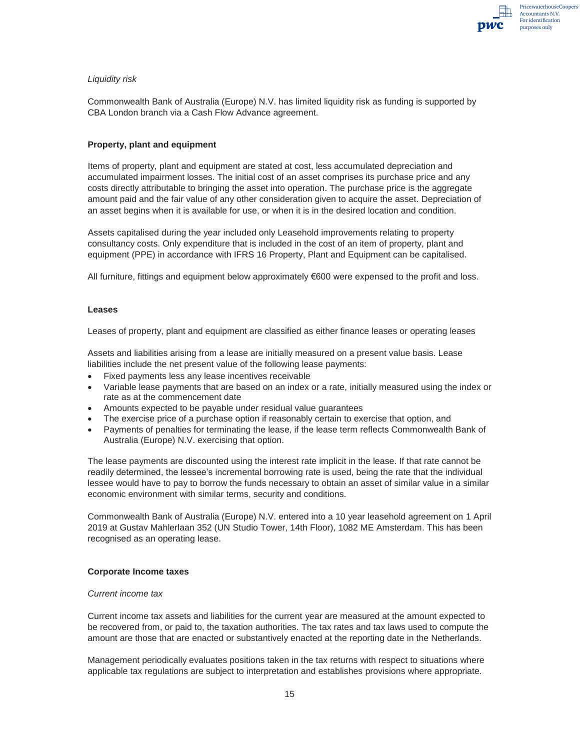

#### *Liquidity risk*

Commonwealth Bank of Australia (Europe) N.V. has limited liquidity risk as funding is supported by CBA London branch via a Cash Flow Advance agreement.

#### **Property, plant and equipment**

Items of property, plant and equipment are stated at cost, less accumulated depreciation and accumulated impairment losses. The initial cost of an asset comprises its purchase price and any costs directly attributable to bringing the asset into operation. The purchase price is the aggregate amount paid and the fair value of any other consideration given to acquire the asset. Depreciation of an asset begins when it is available for use, or when it is in the desired location and condition.

Assets capitalised during the year included only Leasehold improvements relating to property consultancy costs. Only expenditure that is included in the cost of an item of property, plant and equipment (PPE) in accordance with IFRS 16 Property, Plant and Equipment can be capitalised.

All furniture, fittings and equipment below approximately €600 were expensed to the profit and loss.

#### **Leases**

Leases of property, plant and equipment are classified as either finance leases or operating leases

Assets and liabilities arising from a lease are initially measured on a present value basis. Lease liabilities include the net present value of the following lease payments:

- Fixed payments less any lease incentives receivable
- x Variable lease payments that are based on an index or a rate, initially measured using the index or rate as at the commencement date
- Amounts expected to be payable under residual value guarantees
- The exercise price of a purchase option if reasonably certain to exercise that option, and
- Payments of penalties for terminating the lease, if the lease term reflects Commonwealth Bank of Australia (Europe) N.V. exercising that option.

The lease payments are discounted using the interest rate implicit in the lease. If that rate cannot be readily determined, the lessee's incremental borrowing rate is used, being the rate that the individual lessee would have to pay to borrow the funds necessary to obtain an asset of similar value in a similar economic environment with similar terms, security and conditions.

Commonwealth Bank of Australia (Europe) N.V. entered into a 10 year leasehold agreement on 1 April 2019 at Gustav Mahlerlaan 352 (UN Studio Tower, 14th Floor), 1082 ME Amsterdam. This has been recognised as an operating lease.

#### **Corporate Income taxes**

#### *Current income tax*

Current income tax assets and liabilities for the current year are measured at the amount expected to be recovered from, or paid to, the taxation authorities. The tax rates and tax laws used to compute the amount are those that are enacted or substantively enacted at the reporting date in the Netherlands.

Management periodically evaluates positions taken in the tax returns with respect to situations where applicable tax regulations are subject to interpretation and establishes provisions where appropriate.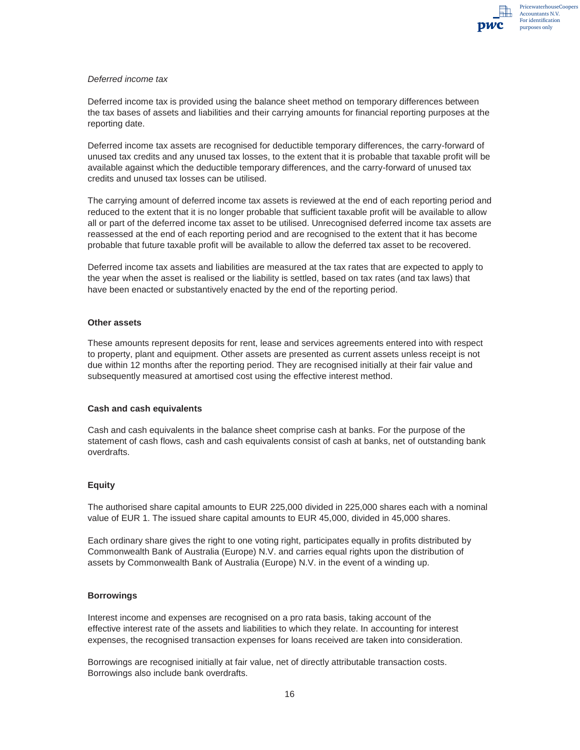

#### *Deferred income tax*

Deferred income tax is provided using the balance sheet method on temporary differences between the tax bases of assets and liabilities and their carrying amounts for financial reporting purposes at the reporting date.

Deferred income tax assets are recognised for deductible temporary differences, the carry-forward of unused tax credits and any unused tax losses, to the extent that it is probable that taxable profit will be available against which the deductible temporary differences, and the carry-forward of unused tax credits and unused tax losses can be utilised.

The carrying amount of deferred income tax assets is reviewed at the end of each reporting period and reduced to the extent that it is no longer probable that sufficient taxable profit will be available to allow all or part of the deferred income tax asset to be utilised. Unrecognised deferred income tax assets are reassessed at the end of each reporting period and are recognised to the extent that it has become probable that future taxable profit will be available to allow the deferred tax asset to be recovered.

Deferred income tax assets and liabilities are measured at the tax rates that are expected to apply to the year when the asset is realised or the liability is settled, based on tax rates (and tax laws) that have been enacted or substantively enacted by the end of the reporting period.

#### **Other assets**

These amounts represent deposits for rent, lease and services agreements entered into with respect to property, plant and equipment. Other assets are presented as current assets unless receipt is not due within 12 months after the reporting period. They are recognised initially at their fair value and subsequently measured at amortised cost using the effective interest method.

#### **Cash and cash equivalents**

Cash and cash equivalents in the balance sheet comprise cash at banks. For the purpose of the statement of cash flows, cash and cash equivalents consist of cash at banks, net of outstanding bank overdrafts.

#### **Equity**

The authorised share capital amounts to EUR 225,000 divided in 225,000 shares each with a nominal value of EUR 1. The issued share capital amounts to EUR 45,000, divided in 45,000 shares.

Each ordinary share gives the right to one voting right, participates equally in profits distributed by Commonwealth Bank of Australia (Europe) N.V. and carries equal rights upon the distribution of assets by Commonwealth Bank of Australia (Europe) N.V. in the event of a winding up.

#### **Borrowings**

Interest income and expenses are recognised on a pro rata basis, taking account of the effective interest rate of the assets and liabilities to which they relate. In accounting for interest expenses, the recognised transaction expenses for loans received are taken into consideration.

Borrowings are recognised initially at fair value, net of directly attributable transaction costs. Borrowings also include bank overdrafts.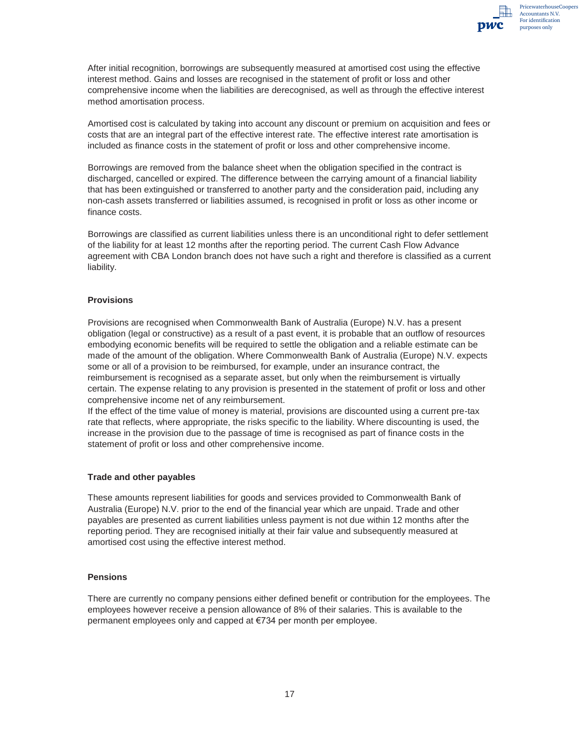After initial recognition, borrowings are subsequently measured at amortised cost using the effective interest method. Gains and losses are recognised in the statement of profit or loss and other comprehensive income when the liabilities are derecognised, as well as through the effective interest method amortisation process.

Amortised cost is calculated by taking into account any discount or premium on acquisition and fees or costs that are an integral part of the effective interest rate. The effective interest rate amortisation is included as finance costs in the statement of profit or loss and other comprehensive income.

Borrowings are removed from the balance sheet when the obligation specified in the contract is discharged, cancelled or expired. The difference between the carrying amount of a financial liability that has been extinguished or transferred to another party and the consideration paid, including any non-cash assets transferred or liabilities assumed, is recognised in profit or loss as other income or finance costs.

Borrowings are classified as current liabilities unless there is an unconditional right to defer settlement of the liability for at least 12 months after the reporting period. The current Cash Flow Advance agreement with CBA London branch does not have such a right and therefore is classified as a current liability.

#### **Provisions**

Provisions are recognised when Commonwealth Bank of Australia (Europe) N.V. has a present obligation (legal or constructive) as a result of a past event, it is probable that an outflow of resources embodying economic benefits will be required to settle the obligation and a reliable estimate can be made of the amount of the obligation. Where Commonwealth Bank of Australia (Europe) N.V. expects some or all of a provision to be reimbursed, for example, under an insurance contract, the reimbursement is recognised as a separate asset, but only when the reimbursement is virtually certain. The expense relating to any provision is presented in the statement of profit or loss and other comprehensive income net of any reimbursement.

If the effect of the time value of money is material, provisions are discounted using a current pre-tax rate that reflects, where appropriate, the risks specific to the liability. Where discounting is used, the increase in the provision due to the passage of time is recognised as part of finance costs in the statement of profit or loss and other comprehensive income.

#### **Trade and other payables**

These amounts represent liabilities for goods and services provided to Commonwealth Bank of Australia (Europe) N.V. prior to the end of the financial year which are unpaid. Trade and other payables are presented as current liabilities unless payment is not due within 12 months after the reporting period. They are recognised initially at their fair value and subsequently measured at amortised cost using the effective interest method.

#### **Pensions**

There are currently no company pensions either defined benefit or contribution for the employees. The employees however receive a pension allowance of 8% of their salaries. This is available to the permanent employees only and capped at €734 per month per employee.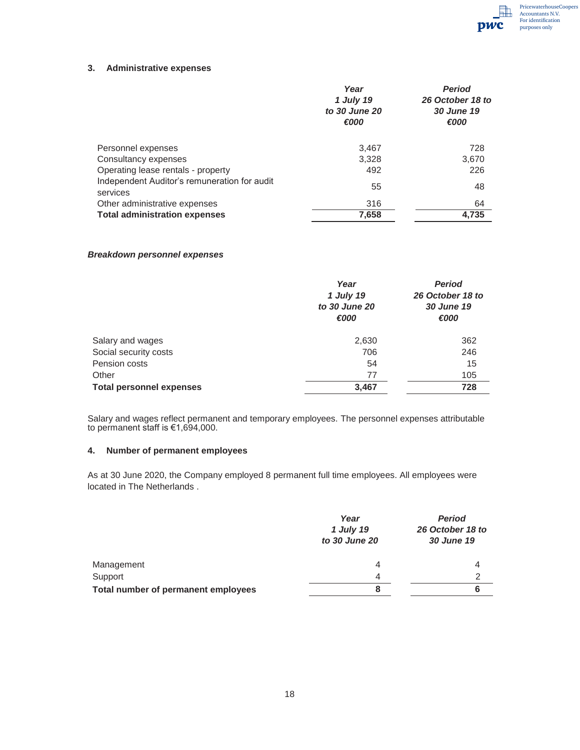#### **3. Administrative expenses**

|                                                          | Year<br>1 July 19<br>to 30 June 20<br>€000 | <b>Period</b><br>26 October 18 to<br>30 June 19<br>€000 |
|----------------------------------------------------------|--------------------------------------------|---------------------------------------------------------|
| Personnel expenses                                       | 3.467                                      | 728                                                     |
| Consultancy expenses                                     | 3.328                                      | 3,670                                                   |
| Operating lease rentals - property                       | 492                                        | 226                                                     |
| Independent Auditor's remuneration for audit<br>services | 55                                         | 48                                                      |
| Other administrative expenses                            | 316                                        | 64                                                      |
| <b>Total administration expenses</b>                     | 7,658                                      | 4,735                                                   |

#### *Breakdown personnel expenses*

|                                 | Year<br>1 July 19<br>to 30 June 20<br>€000 | <b>Period</b><br>26 October 18 to<br>30 June 19<br>€000 |
|---------------------------------|--------------------------------------------|---------------------------------------------------------|
| Salary and wages                | 2,630                                      | 362                                                     |
| Social security costs           | 706                                        | 246                                                     |
| Pension costs                   | 54                                         | 15                                                      |
| Other                           | 77                                         | 105                                                     |
| <b>Total personnel expenses</b> | 3,467                                      | 728                                                     |

Salary and wages reflect permanent and temporary employees. The personnel expenses attributable to permanent staff is €1,694,000.

#### **4. Number of permanent employees**

As at 30 June 2020, the Company employed 8 permanent full time employees. All employees were located in The Netherlands .

|                                     | Year<br>1 July 19<br>to 30 June 20 | <b>Period</b><br>26 October 18 to<br>30 June 19 |
|-------------------------------------|------------------------------------|-------------------------------------------------|
| Management                          | 4                                  | 4                                               |
| Support                             | 4                                  | 2                                               |
| Total number of permanent employees | 8                                  | 6                                               |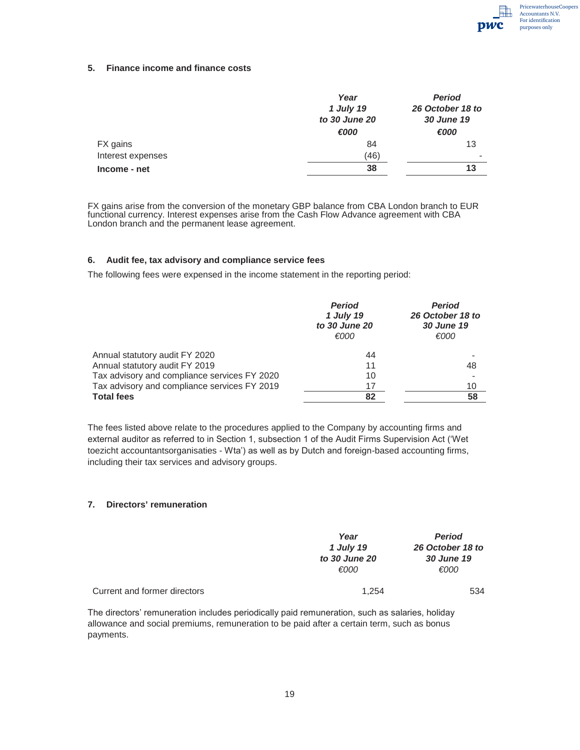

#### **5. Finance income and finance costs**

|                   | Year<br>1 July 19<br>to 30 June 20 | <b>Period</b><br>26 October 18 to<br>30 June 19 |
|-------------------|------------------------------------|-------------------------------------------------|
|                   | €000                               | €000                                            |
| FX gains          | 84                                 | 13                                              |
| Interest expenses | (46)                               | $\overline{\phantom{0}}$                        |
| Income - net      | 38                                 | 13                                              |

FX gains arise from the conversion of the monetary GBP balance from CBA London branch to EUR functional currency. Interest expenses arise from the Cash Flow Advance agreement with CBA London branch and the permanent lease agreement.

#### **6. Audit fee, tax advisory and compliance service fees**

The following fees were expensed in the income statement in the reporting period:

|                                              | <b>Period</b><br>1 July 19<br>to 30 June 20<br>€000 | <b>Period</b><br>26 October 18 to<br>30 June 19<br>€000 |
|----------------------------------------------|-----------------------------------------------------|---------------------------------------------------------|
| Annual statutory audit FY 2020               | 44                                                  |                                                         |
| Annual statutory audit FY 2019               | 11                                                  | 48                                                      |
| Tax advisory and compliance services FY 2020 | 10                                                  |                                                         |
| Tax advisory and compliance services FY 2019 | 17                                                  | 10                                                      |
| <b>Total fees</b>                            | 82                                                  | 58                                                      |

The fees listed above relate to the procedures applied to the Company by accounting firms and external auditor as referred to in Section 1, subsection 1 of the Audit Firms Supervision Act ('Wet toezicht accountantsorganisaties - Wta') as well as by Dutch and foreign-based accounting firms, including their tax services and advisory groups.

#### **7. Directors' remuneration**

|                              | Year<br>1 July 19 | <b>Period</b><br>26 October 18 to |  |
|------------------------------|-------------------|-----------------------------------|--|
|                              |                   |                                   |  |
|                              | to 30 June 20     | 30 June 19                        |  |
|                              | €000              | €000                              |  |
|                              |                   |                                   |  |
| Current and former directors | 1.254             | 534                               |  |

The directors' remuneration includes periodically paid remuneration, such as salaries, holiday allowance and social premiums, remuneration to be paid after a certain term, such as bonus payments.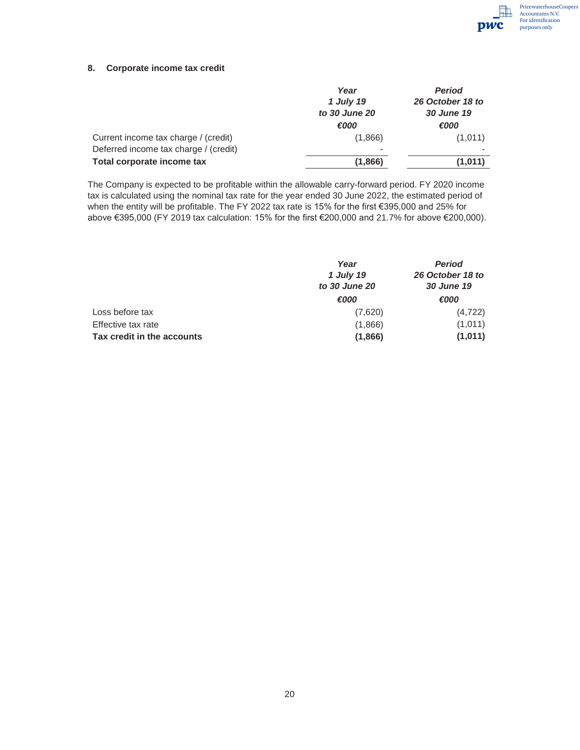

#### **8. Corporate income tax credit**

|                                       | Year                     | <b>Period</b>    |
|---------------------------------------|--------------------------|------------------|
|                                       | 1 July 19                | 26 October 18 to |
|                                       | to 30 June 20            | 30 June 19       |
|                                       | €000                     | €000             |
| Current income tax charge / (credit)  | (1,866)                  | (1,011)          |
| Deferred income tax charge / (credit) | $\overline{\phantom{a}}$ |                  |
| Total corporate income tax            | (1,866)                  | (1,011)          |

The Company is expected to be profitable within the allowable carry-forward period. FY 2020 income tax is calculated using the nominal tax rate for the year ended 30 June 2022, the estimated period of when the entity will be profitable. The FY 2022 tax rate is 15% for the first €395,000 and 25% for above €395,000 (FY 2019 tax calculation: 15% for the first €200,000 and 21.7% for above €200,000).

|                            | Year<br>1 July 19<br>to 30 June 20 | <b>Period</b><br>26 October 18 to<br>30 June 19 |
|----------------------------|------------------------------------|-------------------------------------------------|
|                            | €000                               | €000                                            |
| Loss before tax            | (7,620)                            | (4, 722)                                        |
| Effective tax rate         | (1,866)                            | (1,011)                                         |
| Tax credit in the accounts | (1,866)                            | (1,011)                                         |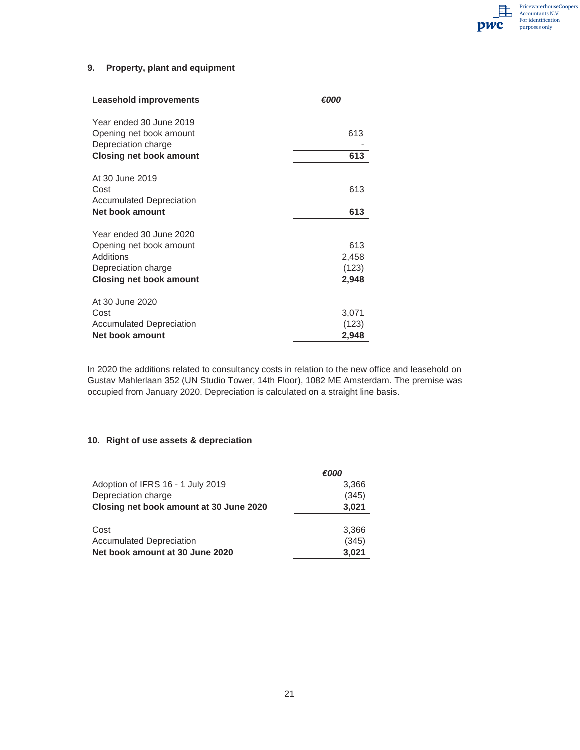**Film** PricewaterhouseCoopers Accountants N.V. For identification pwc purposes only

#### **9. Property, plant and equipment**

| <b>Leasehold improvements</b>   | €000  |
|---------------------------------|-------|
| Year ended 30 June 2019         |       |
| Opening net book amount         | 613   |
| Depreciation charge             |       |
| <b>Closing net book amount</b>  | 613   |
| At 30 June 2019                 |       |
| Cost                            | 613   |
| <b>Accumulated Depreciation</b> |       |
| <b>Net book amount</b>          | 613   |
| Year ended 30 June 2020         |       |
| Opening net book amount         | 613   |
| Additions                       | 2,458 |
| Depreciation charge             | (123) |
| Closing net book amount         | 2,948 |
|                                 |       |
| At 30 June 2020                 |       |
| Cost                            | 3,071 |
| <b>Accumulated Depreciation</b> | (123) |
| Net book amount                 | 2,948 |

In 2020 the additions related to consultancy costs in relation to the new office and leasehold on Gustav Mahlerlaan 352 (UN Studio Tower, 14th Floor), 1082 ME Amsterdam. The premise was occupied from January 2020. Depreciation is calculated on a straight line basis.

#### **10. Right of use assets & depreciation**

|                                         | €000  |
|-----------------------------------------|-------|
| Adoption of IFRS 16 - 1 July 2019       | 3,366 |
| Depreciation charge                     | (345) |
| Closing net book amount at 30 June 2020 | 3,021 |
|                                         |       |
| Cost                                    | 3.366 |
| <b>Accumulated Depreciation</b>         | (345) |
| Net book amount at 30 June 2020         | 3.021 |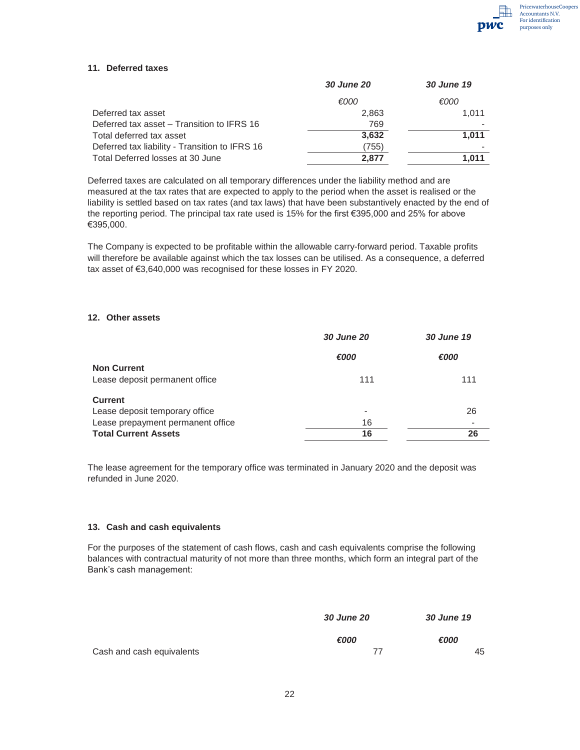

#### **11. Deferred taxes**

|                                                | <b>30 June 20</b> | 30 June 19 |
|------------------------------------------------|-------------------|------------|
|                                                | €000              | €000       |
| Deferred tax asset                             | 2,863             | 1.011      |
| Deferred tax asset – Transition to IFRS 16     | 769               |            |
| Total deferred tax asset                       | 3,632             | 1.011      |
| Deferred tax liability - Transition to IFRS 16 | (755)             |            |
| Total Deferred losses at 30 June               | 2,877             | 1.011      |

Deferred taxes are calculated on all temporary differences under the liability method and are measured at the tax rates that are expected to apply to the period when the asset is realised or the liability is settled based on tax rates (and tax laws) that have been substantively enacted by the end of the reporting period. The principal tax rate used is 15% for the first €395,000 and 25% for above €395,000.

The Company is expected to be profitable within the allowable carry-forward period. Taxable profits will therefore be available against which the tax losses can be utilised. As a consequence, a deferred tax asset of €3,640,000 was recognised for these losses in FY 2020.

#### **12. Other assets**

| <b>30 June 20</b> | 30 June 19 |
|-------------------|------------|
| €000              | €000       |
|                   |            |
| 111               | 111        |
|                   |            |
| ۰                 | 26         |
| 16                |            |
| 16                | 26         |
|                   |            |

The lease agreement for the temporary office was terminated in January 2020 and the deposit was refunded in June 2020.

#### **13. Cash and cash equivalents**

For the purposes of the statement of cash flows, cash and cash equivalents comprise the following balances with contractual maturity of not more than three months, which form an integral part of the Bank's cash management:

|                           | <b>30 June 20</b> | <b>30 June 19</b> |
|---------------------------|-------------------|-------------------|
|                           | €000              | €000              |
| Cash and cash equivalents | 77                | 45                |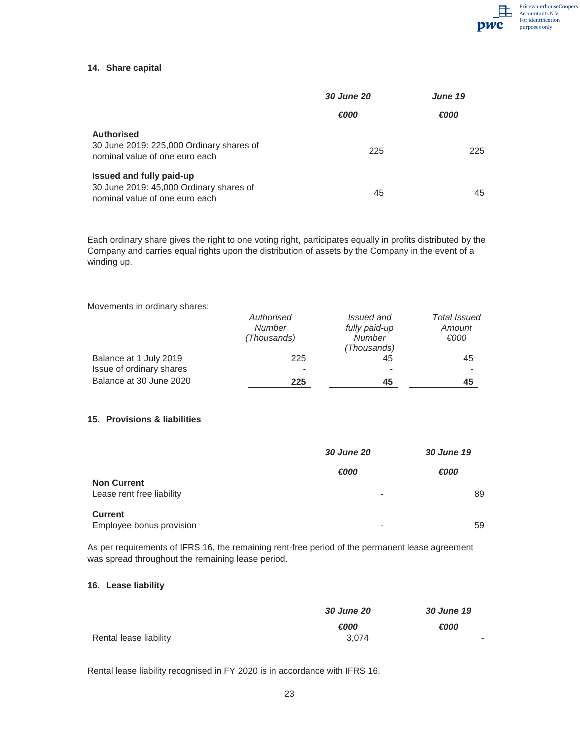

#### **14. Share capital**

|                                                                                                       | <b>30 June 20</b> | June 19 |
|-------------------------------------------------------------------------------------------------------|-------------------|---------|
|                                                                                                       | €000              | €000    |
| <b>Authorised</b><br>30 June 2019: 225,000 Ordinary shares of<br>nominal value of one euro each       | 225               | 225     |
| Issued and fully paid-up<br>30 June 2019: 45,000 Ordinary shares of<br>nominal value of one euro each | 45                | 45      |

Each ordinary share gives the right to one voting right, participates equally in profits distributed by the Company and carries equal rights upon the distribution of assets by the Company in the event of a winding up.

Movements in ordinary shares:

| Authorised    | Issued and               | Total Issued |
|---------------|--------------------------|--------------|
| <b>Number</b> | fully paid-up            | Amount       |
| (Thousands)   | <b>Number</b>            | €000         |
|               | (Thousands)              |              |
| 225           | 45                       | 45           |
|               | $\overline{\phantom{0}}$ |              |
| 225           | 45                       | 45           |
|               |                          |              |

#### **15. Provisions & liabilities**

|                                                 | <b>30 June 20</b> | 30 June 19 |
|-------------------------------------------------|-------------------|------------|
|                                                 | €000              | €000       |
| <b>Non Current</b><br>Lease rent free liability | -                 | 89         |
| <b>Current</b><br>Employee bonus provision      | -                 | 59         |

As per requirements of IFRS 16, the remaining rent-free period of the permanent lease agreement was spread throughout the remaining lease period.

#### **16. Lease liability**

|                        | <b>30 June 20</b> | <b>30 June 19</b> |
|------------------------|-------------------|-------------------|
|                        | €000              | €000              |
| Rental lease liability | 3.074             | $\sim$            |

Rental lease liability recognised in FY 2020 is in accordance with IFRS 16.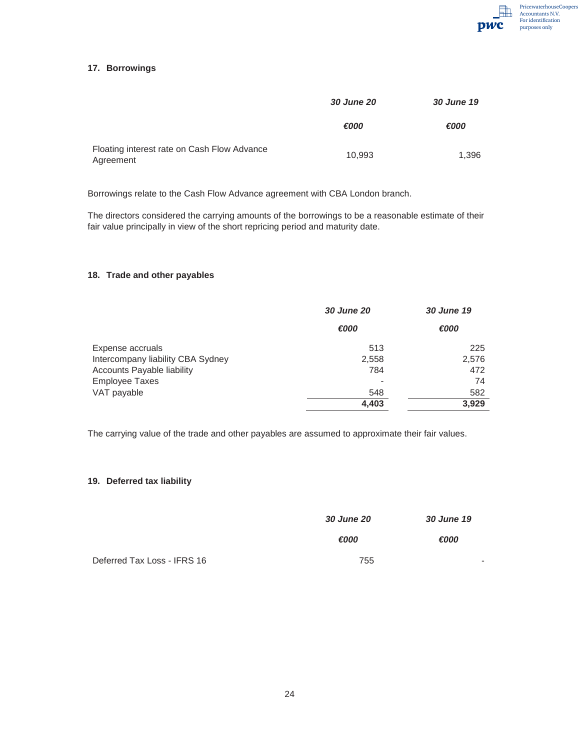

#### **17. Borrowings**

|                                                          | <b>30 June 20</b> | 30 June 19 |
|----------------------------------------------------------|-------------------|------------|
|                                                          | €000              | €000       |
| Floating interest rate on Cash Flow Advance<br>Agreement | 10.993            | 1,396      |

Borrowings relate to the Cash Flow Advance agreement with CBA London branch.

The directors considered the carrying amounts of the borrowings to be a reasonable estimate of their fair value principally in view of the short repricing period and maturity date.

#### **18. Trade and other payables**

|                                   | <b>30 June 20</b> | 30 June 19 |
|-----------------------------------|-------------------|------------|
|                                   | €000              | €000       |
| Expense accruals                  | 513               | 225        |
| Intercompany liability CBA Sydney | 2,558             | 2,576      |
| Accounts Payable liability        | 784               | 472        |
| <b>Employee Taxes</b>             | -                 | 74         |
| VAT payable                       | 548               | 582        |
|                                   | 4,403             | 3.929      |

The carrying value of the trade and other payables are assumed to approximate their fair values.

#### **19. Deferred tax liability**

|                             | <b>30 June 20</b> | <b>30 June 19</b> |
|-----------------------------|-------------------|-------------------|
|                             | €000              | €000              |
| Deferred Tax Loss - IFRS 16 | 755               | -                 |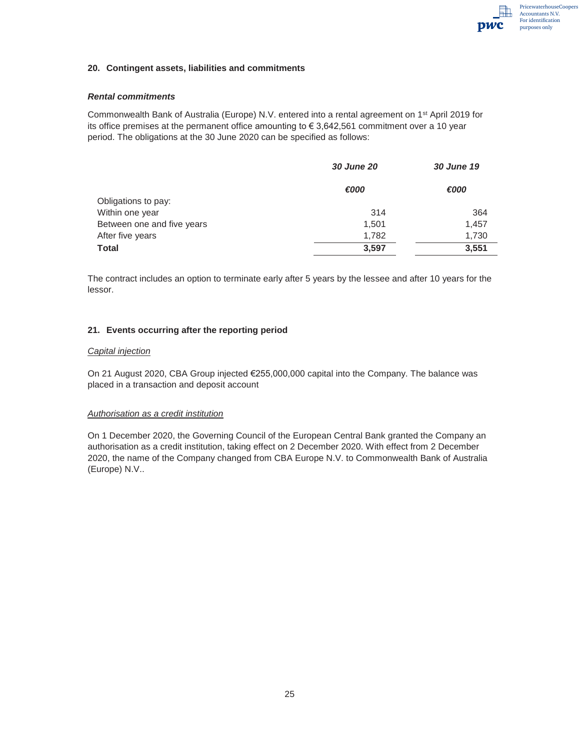

#### **20. Contingent assets, liabilities and commitments**

#### *Rental commitments*

Commonwealth Bank of Australia (Europe) N.V. entered into a rental agreement on 1st April 2019 for its office premises at the permanent office amounting to  $\epsilon$  3,642,561 commitment over a 10 year period. The obligations at the 30 June 2020 can be specified as follows:

|                            | <b>30 June 20</b> | 30 June 19 |
|----------------------------|-------------------|------------|
|                            | €000              | €000       |
| Obligations to pay:        |                   |            |
| Within one year            | 314               | 364        |
| Between one and five years | 1,501             | 1,457      |
| After five years           | 1,782             | 1,730      |
| <b>Total</b>               | 3,597             | 3,551      |

The contract includes an option to terminate early after 5 years by the lessee and after 10 years for the lessor.

#### **21. Events occurring after the reporting period**

#### *Capital injection*

On 21 August 2020, CBA Group injected €255,000,000 capital into the Company. The balance was placed in a transaction and deposit account

#### *Authorisation as a credit institution*

On 1 December 2020, the Governing Council of the European Central Bank granted the Company an authorisation as a credit institution, taking effect on 2 December 2020. With effect from 2 December 2020, the name of the Company changed from CBA Europe N.V. to Commonwealth Bank of Australia (Europe) N.V..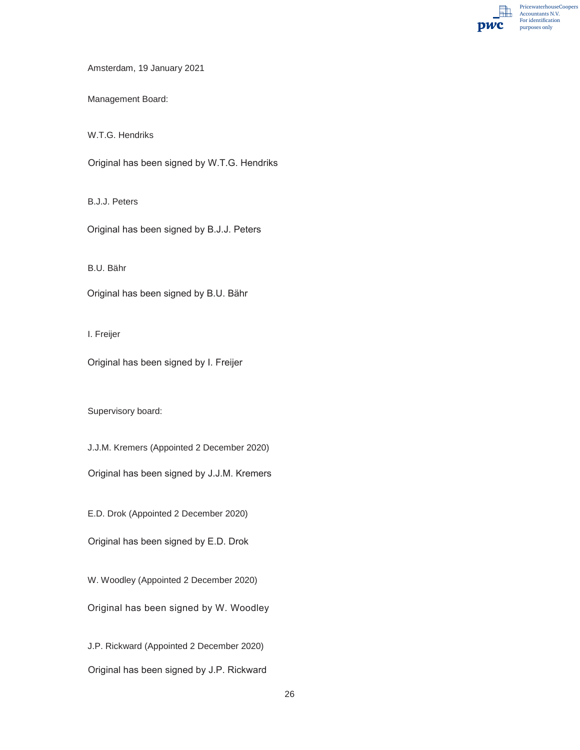PricewaterhouseCoopers 駎 Accountants N.V. For identification pwc purposes only

Amsterdam, 19 January 2021

Management Board:

W.T.G. Hendriks

Original has been signed by W.T.G. Hendriks

B.J.J. Peters

Original has been signed by B.J.J. Peters

B.U. Bähr

Original has been signed by B.U. Bähr

I. Freijer

Original has been signed by I. Freijer

Supervisory board:

J.J.M. Kremers (Appointed 2 December 2020)

Original has been signed by J.J.M. Kremers

E.D. Drok (Appointed 2 December 2020)

Original has been signed by E.D. Drok

W. Woodley (Appointed 2 December 2020)

Original has been signed by W. Woodley

J.P. Rickward (Appointed 2 December 2020) Original has been signed by J.P. Rickward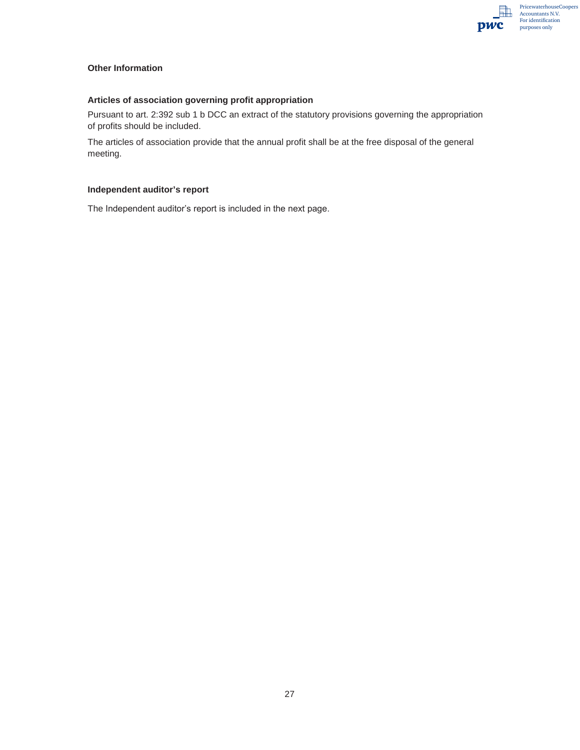

#### **Other Information**

#### **Articles of association governing profit appropriation**

Pursuant to art. 2:392 sub 1 b DCC an extract of the statutory provisions governing the appropriation of profits should be included.

The articles of association provide that the annual profit shall be at the free disposal of the general meeting.

#### **Independent auditor's report**

The Independent auditor's report is included in the next page.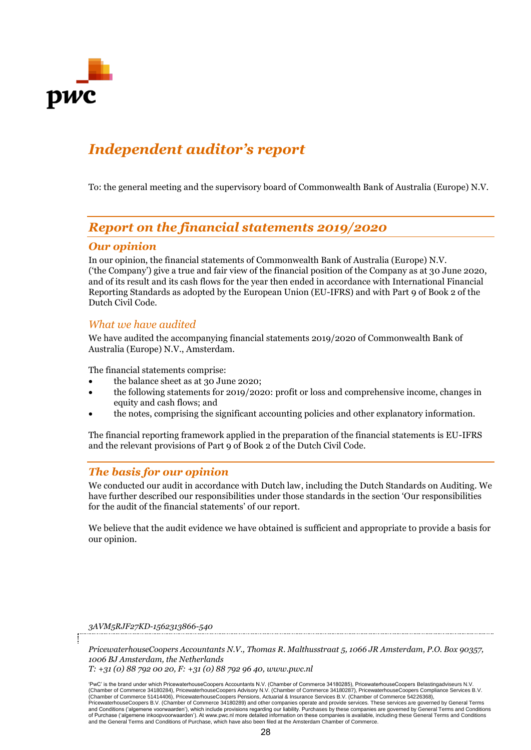

## *Independent auditor's report*

To: the general meeting and the supervisory board of Commonwealth Bank of Australia (Europe) N.V.

## *Report on the financial statements 2019/2020*

### *Our opinion*

In our opinion, the financial statements of Commonwealth Bank of Australia (Europe) N.V. ('the Company') give a true and fair view of the financial position of the Company as at 30 June 2020, and of its result and its cash flows for the year then ended in accordance with International Financial Reporting Standards as adopted by the European Union (EU-IFRS) and with Part 9 of Book 2 of the Dutch Civil Code.

### *What we have audited*

We have audited the accompanying financial statements 2019/2020 of Commonwealth Bank of Australia (Europe) N.V., Amsterdam.

The financial statements comprise:

- the balance sheet as at 30 June 2020;
- the following statements for 2019/2020: profit or loss and comprehensive income, changes in equity and cash flows; and
- the notes, comprising the significant accounting policies and other explanatory information.

The financial reporting framework applied in the preparation of the financial statements is EU-IFRS and the relevant provisions of Part 9 of Book 2 of the Dutch Civil Code.

### *The basis for our opinion*

We conducted our audit in accordance with Dutch law, including the Dutch Standards on Auditing. We have further described our responsibilities under those standards in the section 'Our responsibilities for the audit of the financial statements' of our report.

We believe that the audit evidence we have obtained is sufficient and appropriate to provide a basis for our opinion.

*3AVM5RJF27KD-1562313866-540*

*PricewaterhouseCoopers Accountants N.V., Thomas R. Malthusstraat 5, 1066 JR Amsterdam, P.O. Box 90357, 1006 BJ Amsterdam, the Netherlands*

*T: +31 (0) 88 792 00 20, F: +31 (0) 88 792 96 40, www.pwc.nl*

'PwC' is the brand under which PricewaterhouseCoopers Accountants N.V. (Chamber of Commerce 34180285), PricewaterhouseCoopers Belastingadviseurs N.V. (Chamber of Commerce 34180284), PricewaterhouseCoopers Advisory N.V. (Chamber of Commerce 34180287), PricewaterhouseCoopers Compliance Services B.V. (Chamber of Commerce 51414406), PricewaterhouseCoopers Pensions, Actuarial & Insurance Services B.V. (Chamber of Commerce 54226368),<br>PricewaterhouseCoopers B.V. (Chamber of Commerce 34180289) and other companies operate an and Conditions ('algemene voorwaarden'), which include provisions regarding our liability. Purchases by these companies are governed by General Terms and Conditions<br>of Purchase ('algemene inkoopvoorwaarden'). At www.pwc.n and the General Terms and Conditions of Purchase, which have also been filed at the Amsterdam Chamber of Commerce.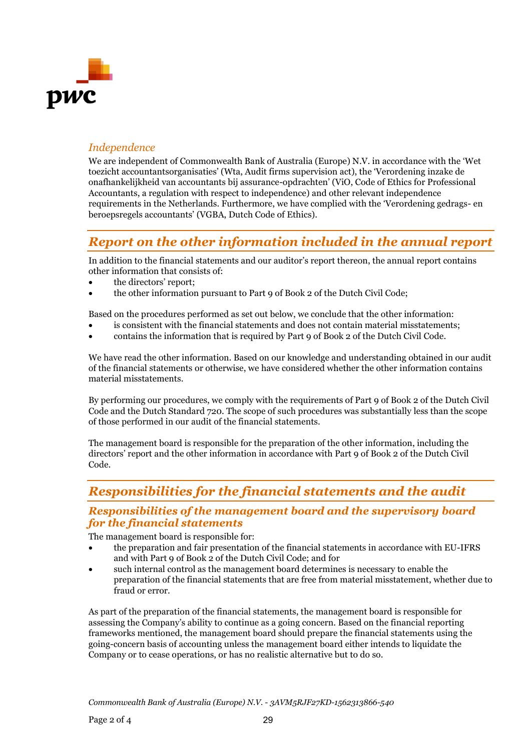

## *Independence*

We are independent of Commonwealth Bank of Australia (Europe) N.V. in accordance with the 'Wet toezicht accountantsorganisaties' (Wta, Audit firms supervision act), the 'Verordening inzake de onafhankelijkheid van accountants bij assurance-opdrachten' (ViO, Code of Ethics for Professional Accountants, a regulation with respect to independence) and other relevant independence requirements in the Netherlands. Furthermore, we have complied with the 'Verordening gedrags- en beroepsregels accountants' (VGBA, Dutch Code of Ethics).

## *Report on the other information included in the annual report*

In addition to the financial statements and our auditor's report thereon, the annual report contains other information that consists of:

- the directors' report;
- the other information pursuant to Part 9 of Book 2 of the Dutch Civil Code;

Based on the procedures performed as set out below, we conclude that the other information:

- is consistent with the financial statements and does not contain material misstatements;
- contains the information that is required by Part 9 of Book 2 of the Dutch Civil Code.

We have read the other information. Based on our knowledge and understanding obtained in our audit of the financial statements or otherwise, we have considered whether the other information contains material misstatements.

By performing our procedures, we comply with the requirements of Part 9 of Book 2 of the Dutch Civil Code and the Dutch Standard 720. The scope of such procedures was substantially less than the scope of those performed in our audit of the financial statements.

The management board is responsible for the preparation of the other information, including the directors' report and the other information in accordance with Part 9 of Book 2 of the Dutch Civil Code.

## *Responsibilities for the financial statements and the audit*

### *Responsibilities of the management board and the supervisory board for the financial statements*

The management board is responsible for:

- the preparation and fair presentation of the financial statements in accordance with EU-IFRS and with Part 9 of Book 2 of the Dutch Civil Code; and for
- such internal control as the management board determines is necessary to enable the preparation of the financial statements that are free from material misstatement, whether due to fraud or error.

As part of the preparation of the financial statements, the management board is responsible for assessing the Company's ability to continue as a going concern. Based on the financial reporting frameworks mentioned, the management board should prepare the financial statements using the going-concern basis of accounting unless the management board either intends to liquidate the Company or to cease operations, or has no realistic alternative but to do so.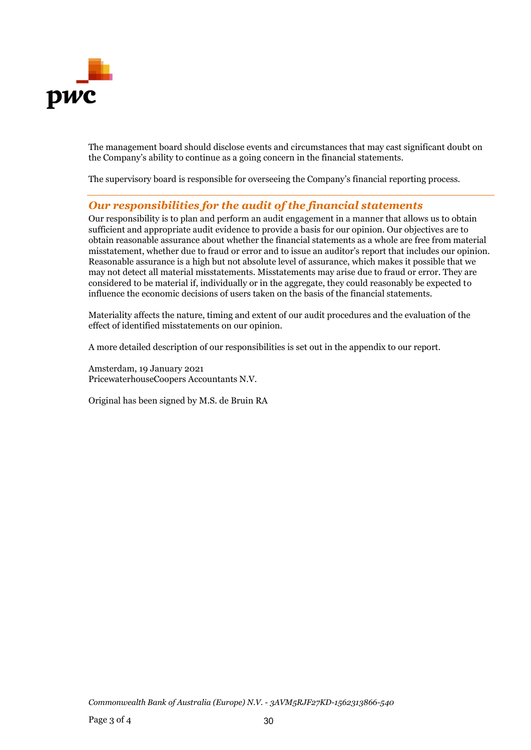

The management board should disclose events and circumstances that may cast significant doubt on the Company's ability to continue as a going concern in the financial statements.

The supervisory board is responsible for overseeing the Company's financial reporting process.

### *Our responsibilities for the audit of the financial statements*

Our responsibility is to plan and perform an audit engagement in a manner that allows us to obtain sufficient and appropriate audit evidence to provide a basis for our opinion. Our objectives are to obtain reasonable assurance about whether the financial statements as a whole are free from material misstatement, whether due to fraud or error and to issue an auditor's report that includes our opinion. Reasonable assurance is a high but not absolute level of assurance, which makes it possible that we may not detect all material misstatements. Misstatements may arise due to fraud or error. They are considered to be material if, individually or in the aggregate, they could reasonably be expected to influence the economic decisions of users taken on the basis of the financial statements.

Materiality affects the nature, timing and extent of our audit procedures and the evaluation of the effect of identified misstatements on our opinion.

A more detailed description of our responsibilities is set out in the appendix to our report.

Amsterdam, 19 January 2021 PricewaterhouseCoopers Accountants N.V.

Original has been signed by M.S. de Bruin RA